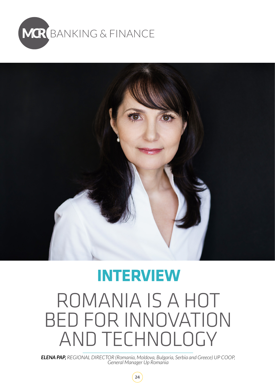



## ROMANIA IS A HOT BED FOR INNOVATION AND TECHNOLOGY **INTERVIEW**

*ELENA PAP, REGIONAL DIRECTOR (Romania, Moldova, Bulgaria, Serbia and Greece) UP COOP, General Manager Up Romania*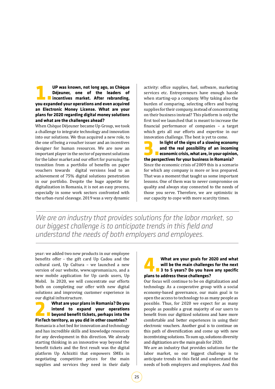**1. UP was known, not long ago, as Chèque<br>Déjeuner, one of the leaders of<br>Dincentives market. After rebranding, vou expanded your operations and even acquired Déjeuner, one of the leaders of incentives market. After rebranding, you expanded your operations and even acquired an Electronic Money License. What are your plans for 2020 regarding digital money solutions and what are the challenges ahead?**

When Chèque Déjeuner became Up Group, we took a challenge to integrate technology and innovation into our solutions. We thus acquired a new role, to the one of being a voucher issuer and an incentives designer for human resources. We are now an important player in the sector of payment solutions for the labor market and our effort for pursuing the transition from a portfolio of benefits on paper vouchers towards digital versions lead to an achievement of 75% digital solutions penetration in our portfolio. Despite the huge appetite for digitalization in Romania, it is not an easy process, especially in some work sectors confronted with the urban-rural cleavage. 2019 was a very dynamic activity: office supplies, fuel, software, marketing services etc. Entrepreneurs have enough hassle when starting-up a company. Why taking also the burden of comparing, selecting offers and buying supplies for their company, instead of concentrating on their business instead? This platform is only the first tool we launched that is meant to increase the financial performance of companies – a target which gets all our efforts and expertise in our

innovation challenge. The best is yet to come.<br>**In light of the signs of a slowing economy 3. In light of the signs of a slowing economy<br>and the real possibility of an incoming<br>economic crisis, what are, in your opinion,<br>the perspectives for your business in Pomania? and the real possibility of an incoming economic crisis, what are, in your opinion, the perspectives for your business in Romania?** Since the economic crisis of 2009 this is a scenario for which any company is more or less prepared. That was a moment that taught us some important lessons. One of them was to never compromise on quality and always stay connected to the needs of those you serve. Therefore, we are optimistic in our capacity to cope with more scarcity times.

*We are an industry that provides solutions for the labor market, so our biggest challenge is to anticipate trends in this field and understand the needs of both employers and employees.*

year: we added two new products in our employee benefits offer - the gift card Up Cadou and the cultural card, Up Cultura – we launched a new version of our website, www.upromania.ro, and a new mobile application for Up cards users, Up Mobil. In 2020, we will concentrate our efforts both on completing our offer with new digital solutions and improving customer experience in

## our digital infrastructure.<br> **What are your plans in Romania? Do you 2. What are your plans in Romania? Do you<br>intend to expand your operations<br>beyond benefit tickets, perhaps into the<br>FinTech territory as you did in other countries? intend to expand your operations beyond benefit tickets, perhaps into the FinTech territory, as you did in other countries?**

Romania is a hot bed for innovation and technology and has incredible skills and knowledge resources for any development in this direction. We already starting thinking in an innovative way beyond the benefit tickets and the first result was the digital platform Up Achizitii that empowers SMEs in negotiating competitive prices for the main supplies and services they need in their daily

## **4. What are your goals for 2020 and what<br>will be the main challenges for the next<br>at a 3 to 5 years? Do you have any specific<br>plans to address these challenges? will be the main challenges for the next 3 to 5 years? Do you have any specific plans to address these challenges?**

Our focus will continue to be on digitalization and technology. As a cooperative group with a social economy-based governance, our main goal is to open the access to technology to as many people as possible. Thus, for 2020 we expect for as many people as possible a great majority of our users to benefit from our digitized solutions and have more comfortable and better experiences in using their electronic vouchers. Another goal is to continue on this path of diversification and come up with new incentivizing solutions. To sum up, solutions diversity and digitization are the main goals for 2020.

We are an industry that provides solutions for the labor market, so our biggest challenge is to anticipate trends in this field and understand the needs of both employers and employees. And this